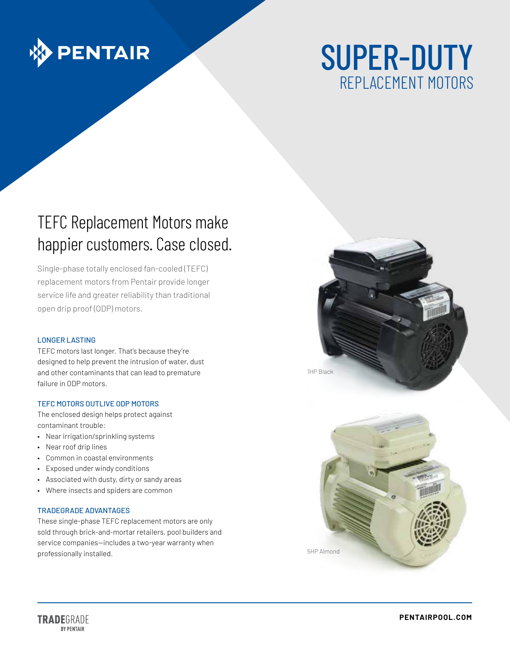

# SUPER-DUTY REPLACEMENT MOTORS

## TEFC Replacement Motors make happier customers. Case closed.

Single-phase totally enclosed fan-cooled (TEFC) replacement motors from Pentair provide longer service life and greater reliability than traditional open drip proof (ODP) motors.

#### LONGER LASTING

TEFC motors last longer. That's because they're designed to help prevent the intrusion of water, dust and other contaminants that can lead to premature failure in ODP motors.

#### TEFC MOTORS OUTLIVE ODP MOTORS

The enclosed design helps protect against contaminant trouble:

- Near irrigation/sprinkling systems
- Near roof drip lines
- Common in coastal environments
- Exposed under windy conditions
- Associated with dusty, dirty or sandy areas
- Where insects and spiders are common

#### TRADEGRADE ADVANTAGES

These single-phase TEFC replacement motors are only sold through brick-and-mortar retailers, pool builders and service companies—includes a two-year warranty when professionally installed.